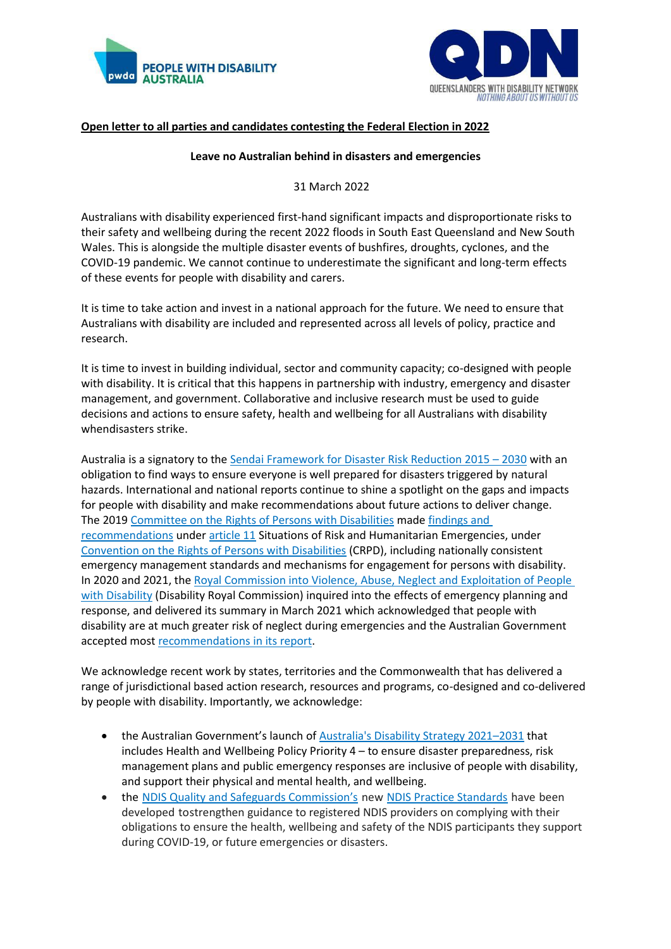



# **Open letter to all parties and candidates contesting the Federal Election in 2022**

#### **Leave no Australian behind in disasters and emergencies**

#### 31 March 2022

Australians with disability experienced first-hand significant impacts and disproportionate risks to their safety and wellbeing during the recent 2022 floods in South East Queensland and New South Wales. This is alongside the multiple disaster events of bushfires, droughts, cyclones, and the COVID-19 pandemic. We cannot continue to underestimate the significant and long-term effects of these events for people with disability and carers.

It is time to take action and invest in a national approach for the future. We need to ensure that Australians with disability are included and represented across all levels of policy, practice and research.

It is time to invest in building individual, sector and community capacity; co-designed with people with disability. It is critical that this happens in partnership with industry, emergency and disaster management, and government. Collaborative and inclusive research must be used to guide decisions and actions to ensure safety, health and wellbeing for all Australians with disability whendisasters strike.

Australia is a signatory to the [Sendai Framework for Disaster Risk Reduction 2015](https://www.undrr.org/publication/sendai-framework-disaster-risk-reduction-2015-2030) – 2030 with an obligation to find ways to ensure everyone is well prepared for disasters triggered by natural hazards. International and national reports continue to shine a spotlight on the gaps and impacts for people with disability and make recommendations about future actions to deliver change. The 2019 [Committee on the Rights of Persons with Disabilities](https://www.ohchr.org/en/treaty-bodies/crpd) made [findings and](http://docstore.ohchr.org/SelfServices/FilesHandler.ashx?enc=6QkG1d%2FPPRiCAqhKb7yhsnzSGolKOaUX8SsM2PfxU7sdcbNJQCwlRF9xTca9TaCwjm5OInhspoVv2oxnsujKTREtaVWFXhEZM%2F0OdVJz1UEyF5IeK6Ycmqrn8yzTHQCn)  [recommendations](http://docstore.ohchr.org/SelfServices/FilesHandler.ashx?enc=6QkG1d%2FPPRiCAqhKb7yhsnzSGolKOaUX8SsM2PfxU7sdcbNJQCwlRF9xTca9TaCwjm5OInhspoVv2oxnsujKTREtaVWFXhEZM%2F0OdVJz1UEyF5IeK6Ycmqrn8yzTHQCn) unde[r article 11](https://www.un.org/development/desa/disabilities/convention-on-the-rights-of-persons-with-disabilities/article-11-situations-of-risk-and-humanitarian-emergencies.html) Situations of Risk and Humanitarian Emergencies, under [Convention on the Rights of Persons with Disabilities](https://www.un.org/development/desa/disabilities/convention-on-the-rights-of-persons-with-disabilities.html) (CRPD), including nationally consistent emergency management standards and mechanisms for engagement for persons with disability. In 2020 and 2021, the Royal Commission into Violence, Abuse, Neglect and Exploitation of People [with Disability](https://disability.royalcommission.gov.au/publications/report-public-hearing-5-experiences-people-disability-during-ongoing-covid-19-pandemic) (Disability Royal Commission) inquired into the effects of emergency planning and response, and delivered its summary in March 2021 which acknowledged that people with disability are at much greater risk of neglect during emergencies and the Australian Government accepted most [recommendations in](https://www.dss.gov.au/disability-and-carers-publications-articles-general/australian-government-response-to-the-disability-royal-commission-report-on-public-hearing-5-experiences-of-people-with-disability-during-the-ongoing-covid-19-pandemic) its report.

We acknowledge recent work by states, territories and the Commonwealth that has delivered a range of jurisdictional based action research, resources and programs, co-designed and co-delivered by people with disability. Importantly, we acknowledge:

- the Australian Government's launch of [Australia's Disability Strategy 2021](https://www.ndis.gov.au/understanding/australias-disability-strategy-2021-2031)–2031 that includes Health and Wellbeing Policy Priority 4 – to ensure disaster preparedness, risk management plans and public emergency responses are inclusive of people with disability, and support their physical and mental health, and wellbeing.
- the [NDIS Quality and Safegua](https://www.ndiscommission.gov.au/)rds Commission's new [NDIS Practice Standards](NDIS%20Practice%20Standards) have been developed tostrengthen guidance to registered NDIS providers on complying with their obligations to ensure the health, wellbeing and safety of the NDIS participants they support during COVID-19, or future emergencies or disasters.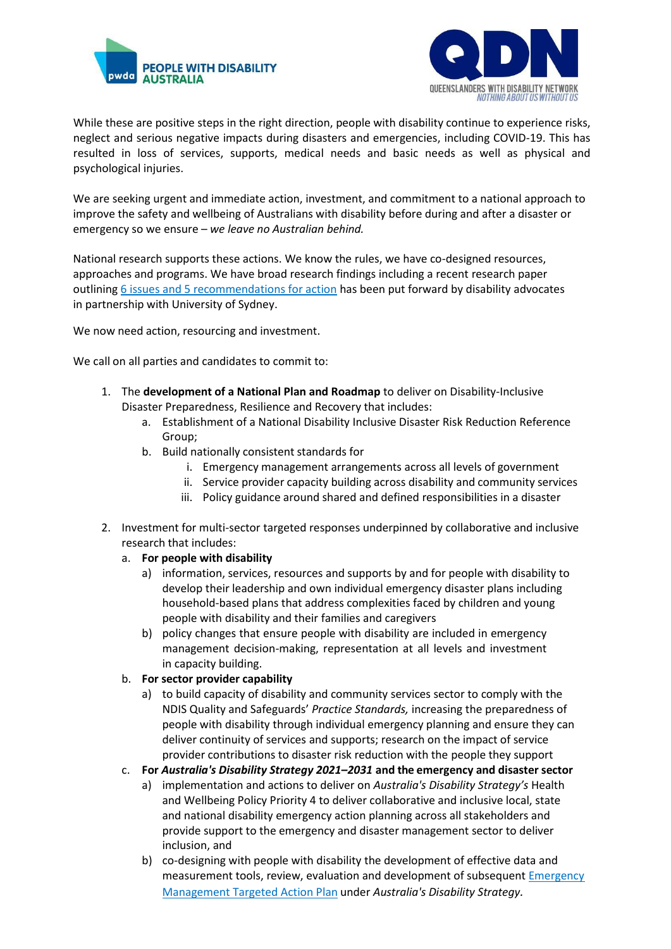



While these are positive steps in the right direction, people with disability continue to experience risks, neglect and serious negative impacts during disasters and emergencies, including COVID-19. This has resulted in loss of services, supports, medical needs and basic needs as well as physical and psychological injuries.

We are seeking urgent and immediate action, investment, and commitment to a national approach to improve the safety and wellbeing of Australians with disability before during and after a disaster or emergency so we ensure – *we leave no Australian behind.*

National research supports these actions. We know the rules, we have co-designed resources, approaches and programs. We have broad research findings including a recent research paper outlining [6 issues and 5 recommendations for action](http://www.daru.org.au/resource/clearing-a-path-to-full-inclusion-of-people-with-disability-in-emergency-management-policy-and-practice-in-australia) has been put forward by disability advocates in partnership with University of Sydney.

We now need action, resourcing and investment.

We call on all parties and candidates to commit to:

- 1. The **development of a National Plan and Roadmap** to deliver on Disability-Inclusive Disaster Preparedness, Resilience and Recovery that includes:
	- a. Establishment of a National Disability Inclusive Disaster Risk Reduction Reference Group;
	- b. Build nationally consistent standards for
		- i. Emergency management arrangements across all levels of government
		- ii. Service provider capacity building across disability and community services
		- iii. Policy guidance around shared and defined responsibilities in a disaster
- 2. Investment for multi-sector targeted responses underpinned by collaborative and inclusive research that includes:
	- a. **For people with disability**
		- a) information, services, resources and supports by and for people with disability to develop their leadership and own individual emergency disaster plans including household-based plans that address complexities faced by children and young people with disability and their families and caregivers
		- b) policy changes that ensure people with disability are included in emergency management decision-making, representation at all levels and investment in capacity building.
	- b. **For sector provider capability**
		- a) to build capacity of disability and community services sector to comply with the NDIS Quality and Safeguards' *Practice Standards,* increasing the preparedness of people with disability through individual emergency planning and ensure they can deliver continuity of services and supports; research on the impact of service provider contributions to disaster risk reduction with the people they support
	- c. **For** *Australia's Disability Strategy 2021–2031* **and the emergency and disaster sector**
		- a) implementation and actions to deliver on *Australia's Disability Strategy's* Health and Wellbeing Policy Priority 4 to deliver collaborative and inclusive local, state and national disability emergency action planning across all stakeholders and provide support to the emergency and disaster management sector to deliver inclusion, and
		- b) co-designing with people with disability the development of effective data and measurement tools, review, evaluation and development of subsequent [Emergency](https://www.disabilitygateway.gov.au/document/3181)  [Management Targeted Action Plan](https://www.disabilitygateway.gov.au/document/3181) under *Australia's Disability Strategy.*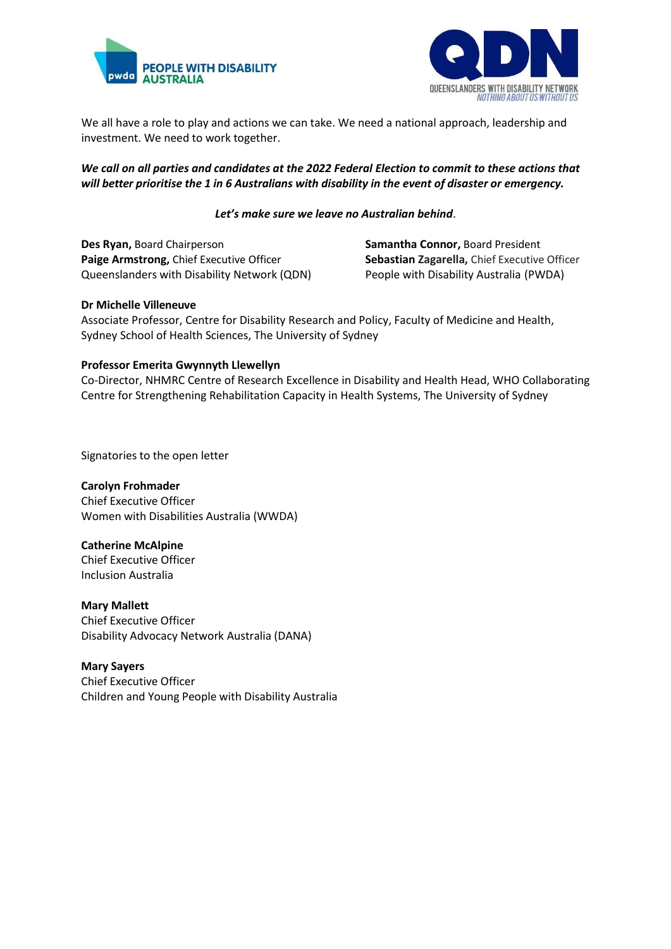



We all have a role to play and actions we can take. We need a national approach, leadership and investment. We need to work together.

## *We call on all parties and candidates at the 2022 Federal Election to commit to these actions that will better prioritise the 1 in 6 Australians with disability in the event of disaster or emergency.*

### *Let's make sure we leave no Australian behind*.

**Des Ryan, Board Chairperson <b>Samantha Connor, Board President Paige Armstrong,** Chief Executive Officer **Sebastian Zagarella,** Chief Executive Officer Queenslanders with Disability Network (QDN) People with Disability Australia (PWDA)

#### **Dr Michelle Villeneuve**

Associate Professor, Centre for Disability Research and Policy, Faculty of Medicine and Health, Sydney School of Health Sciences, The University of Sydney  

## **Professor Emerita Gwynnyth Llewellyn**

Co-Director, NHMRC Centre of Research Excellence in Disability and Health Head, WHO Collaborating Centre for Strengthening Rehabilitation Capacity in Health Systems, The University of Sydney

Signatories to the open letter

**Carolyn Frohmader** Chief Executive Officer Women with Disabilities Australia (WWDA)

**Catherine McAlpine** Chief Executive Officer Inclusion Australia

**Mary Mallett** Chief Executive Officer Disability Advocacy Network Australia (DANA)

**Mary Sayers** Chief Executive Officer Children and Young People with Disability Australia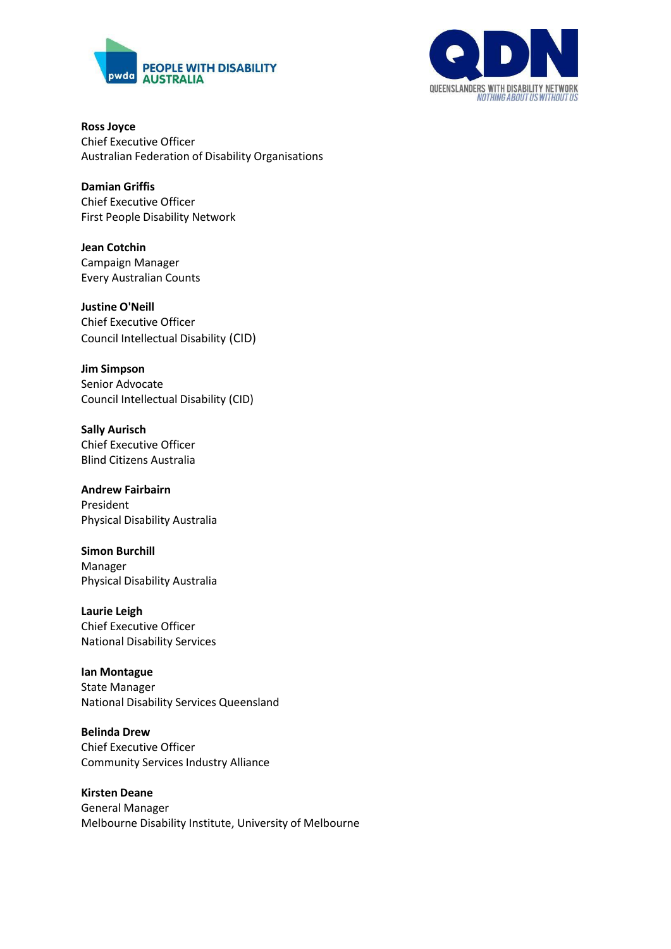



**Ross Joyce** Chief Executive Officer Australian Federation of Disability Organisations

**Damian Griffis** Chief Executive Officer First People Disability Network

**Jean Cotchin** Campaign Manager Every Australian Counts

**Justine O'Neill** Chief Executive Officer Council Intellectual Disability (CID)

**Jim Simpson** Senior Advocate Council Intellectual Disability (CID)

**Sally Aurisch** Chief Executive Officer Blind Citizens Australia

**Andrew Fairbairn** President Physical Disability Australia

**Simon Burchill** Manager Physical Disability Australia

**Laurie Leigh** Chief Executive Officer National Disability Services

**Ian Montague** State Manager National Disability Services Queensland

**Belinda Drew** Chief Executive Officer Community Services Industry Alliance

**Kirsten Deane** General Manager Melbourne Disability Institute, University of Melbourne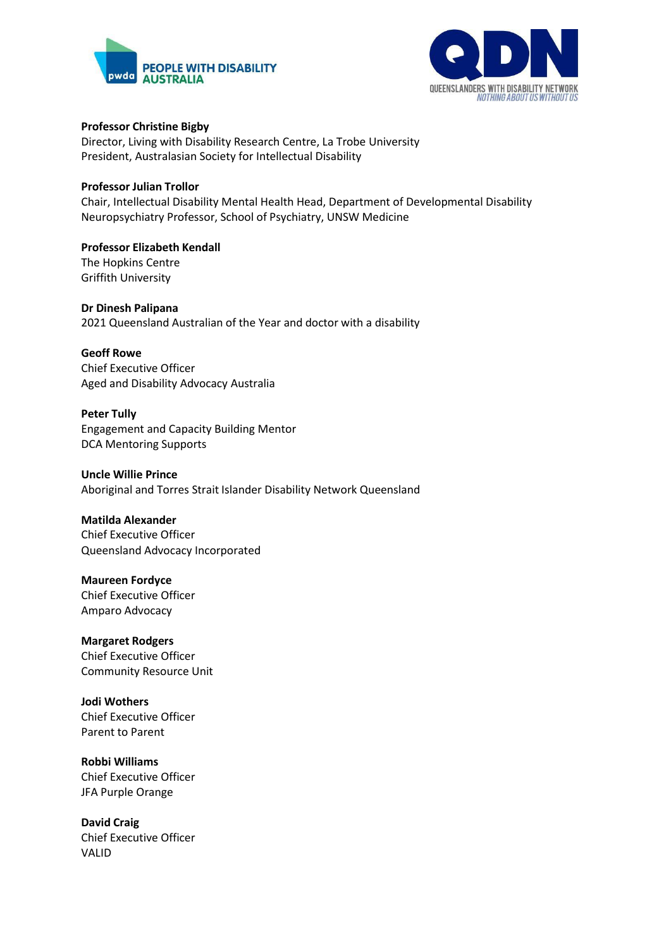



#### **Professor Christine Bigby**

Director, Living with Disability Research Centre, La Trobe University President, Australasian Society for Intellectual Disability

## **Professor Julian Trollor**

Chair, Intellectual Disability Mental Health Head, Department of Developmental Disability Neuropsychiatry Professor, School of Psychiatry, UNSW Medicine

#### **Professor Elizabeth Kendall** The Hopkins Centre Griffith University

**Dr Dinesh Palipana** 2021 Queensland Australian of the Year and doctor with a disability

## **Geoff Rowe**

Chief Executive Officer Aged and Disability Advocacy Australia

# **Peter Tully**

Engagement and Capacity Building Mentor DCA Mentoring Supports

#### **Uncle Willie Prince**

Aboriginal and Torres Strait Islander Disability Network Queensland

#### **Matilda Alexander**

Chief Executive Officer Queensland Advocacy Incorporated

## **Maureen Fordyce** Chief Executive Officer

Amparo Advocacy

# **Margaret Rodgers** Chief Executive Officer

Community Resource Unit

**Jodi Wothers** Chief Executive Officer Parent to Parent

# **Robbi Williams** Chief Executive Officer JFA Purple Orange

**David Craig** Chief Executive Officer VALID